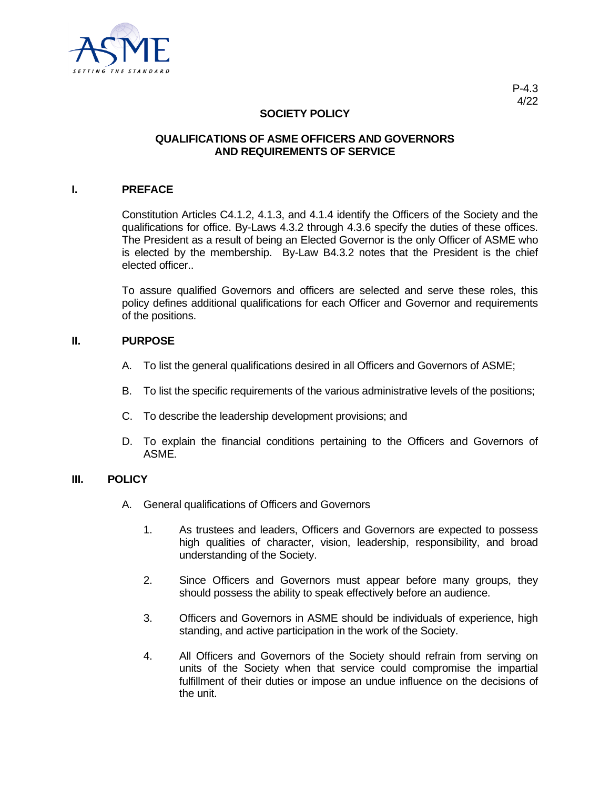

# **SOCIETY POLICY**

### **QUALIFICATIONS OF ASME OFFICERS AND GOVERNORS AND REQUIREMENTS OF SERVICE**

#### **I. PREFACE**

Constitution Articles C4.1.2, 4.1.3, and 4.1.4 identify the Officers of the Society and the qualifications for office. By-Laws 4.3.2 through 4.3.6 specify the duties of these offices. The President as a result of being an Elected Governor is the only Officer of ASME who is elected by the membership. By-Law B4.3.2 notes that the President is the chief elected officer..

To assure qualified Governors and officers are selected and serve these roles, this policy defines additional qualifications for each Officer and Governor and requirements of the positions.

### **II. PURPOSE**

- A. To list the general qualifications desired in all Officers and Governors of ASME;
- B. To list the specific requirements of the various administrative levels of the positions;
- C. To describe the leadership development provisions; and
- D. To explain the financial conditions pertaining to the Officers and Governors of ASME.

### **III. POLICY**

- A. General qualifications of Officers and Governors
	- 1. As trustees and leaders, Officers and Governors are expected to possess high qualities of character, vision, leadership, responsibility, and broad understanding of the Society.
	- 2. Since Officers and Governors must appear before many groups, they should possess the ability to speak effectively before an audience.
	- 3. Officers and Governors in ASME should be individuals of experience, high standing, and active participation in the work of the Society.
	- 4. All Officers and Governors of the Society should refrain from serving on units of the Society when that service could compromise the impartial fulfillment of their duties or impose an undue influence on the decisions of the unit.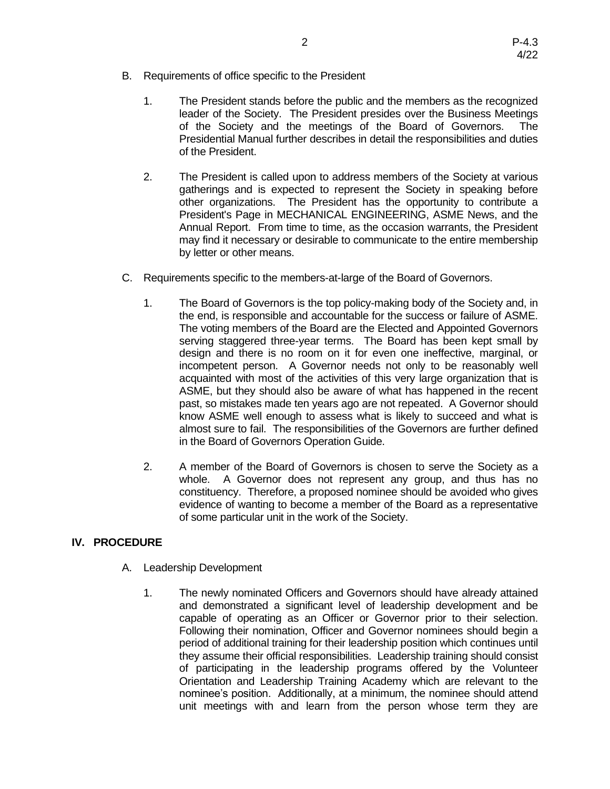- B. Requirements of office specific to the President
	- 1. The President stands before the public and the members as the recognized leader of the Society. The President presides over the Business Meetings of the Society and the meetings of the Board of Governors. The Presidential Manual further describes in detail the responsibilities and duties of the President.
	- 2. The President is called upon to address members of the Society at various gatherings and is expected to represent the Society in speaking before other organizations. The President has the opportunity to contribute a President's Page in MECHANICAL ENGINEERING, ASME News, and the Annual Report. From time to time, as the occasion warrants, the President may find it necessary or desirable to communicate to the entire membership by letter or other means.
- C. Requirements specific to the members-at-large of the Board of Governors.
	- 1. The Board of Governors is the top policy-making body of the Society and, in the end, is responsible and accountable for the success or failure of ASME. The voting members of the Board are the Elected and Appointed Governors serving staggered three-year terms. The Board has been kept small by design and there is no room on it for even one ineffective, marginal, or incompetent person. A Governor needs not only to be reasonably well acquainted with most of the activities of this very large organization that is ASME, but they should also be aware of what has happened in the recent past, so mistakes made ten years ago are not repeated. A Governor should know ASME well enough to assess what is likely to succeed and what is almost sure to fail. The responsibilities of the Governors are further defined in the Board of Governors Operation Guide.
	- 2. A member of the Board of Governors is chosen to serve the Society as a whole. A Governor does not represent any group, and thus has no constituency. Therefore, a proposed nominee should be avoided who gives evidence of wanting to become a member of the Board as a representative of some particular unit in the work of the Society.

## **IV. PROCEDURE**

- A. Leadership Development
	- 1. The newly nominated Officers and Governors should have already attained and demonstrated a significant level of leadership development and be capable of operating as an Officer or Governor prior to their selection. Following their nomination, Officer and Governor nominees should begin a period of additional training for their leadership position which continues until they assume their official responsibilities. Leadership training should consist of participating in the leadership programs offered by the Volunteer Orientation and Leadership Training Academy which are relevant to the nominee's position. Additionally, at a minimum, the nominee should attend unit meetings with and learn from the person whose term they are